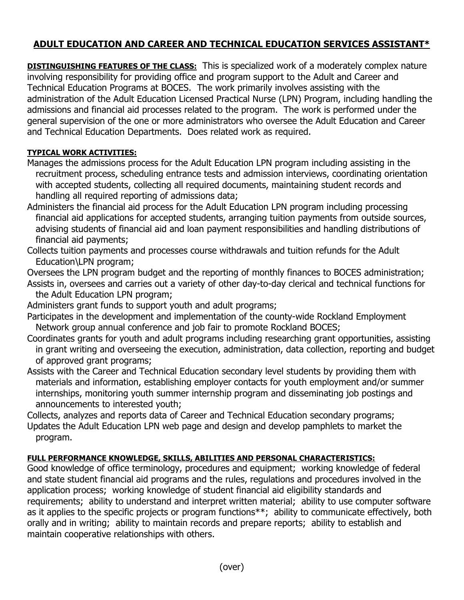## **ADULT EDUCATION AND CAREER AND TECHNICAL EDUCATION SERVICES ASSISTANT\***

**DISTINGUISHING FEATURES OF THE CLASS:** This is specialized work of a moderately complex nature involving responsibility for providing office and program support to the Adult and Career and Technical Education Programs at BOCES. The work primarily involves assisting with the administration of the Adult Education Licensed Practical Nurse (LPN) Program, including handling the admissions and financial aid processes related to the program. The work is performed under the general supervision of the one or more administrators who oversee the Adult Education and Career and Technical Education Departments. Does related work as required.

## **TYPICAL WORK ACTIVITIES:**

- Manages the admissions process for the Adult Education LPN program including assisting in the recruitment process, scheduling entrance tests and admission interviews, coordinating orientation with accepted students, collecting all required documents, maintaining student records and handling all required reporting of admissions data;
- Administers the financial aid process for the Adult Education LPN program including processing financial aid applications for accepted students, arranging tuition payments from outside sources, advising students of financial aid and loan payment responsibilities and handling distributions of financial aid payments;
- Collects tuition payments and processes course withdrawals and tuition refunds for the Adult Education\LPN program;
- Oversees the LPN program budget and the reporting of monthly finances to BOCES administration; Assists in, oversees and carries out a variety of other day-to-day clerical and technical functions for the Adult Education LPN program;
- Administers grant funds to support youth and adult programs;
- Participates in the development and implementation of the county-wide Rockland Employment Network group annual conference and job fair to promote Rockland BOCES;
- Coordinates grants for youth and adult programs including researching grant opportunities, assisting in grant writing and overseeing the execution, administration, data collection, reporting and budget of approved grant programs;
- Assists with the Career and Technical Education secondary level students by providing them with materials and information, establishing employer contacts for youth employment and/or summer internships, monitoring youth summer internship program and disseminating job postings and announcements to interested youth;
- Collects, analyzes and reports data of Career and Technical Education secondary programs;
- Updates the Adult Education LPN web page and design and develop pamphlets to market the program.

## **FULL PERFORMANCE KNOWLEDGE, SKILLS, ABILITIES AND PERSONAL CHARACTERISTICS:**

Good knowledge of office terminology, procedures and equipment; working knowledge of federal and state student financial aid programs and the rules, regulations and procedures involved in the application process; working knowledge of student financial aid eligibility standards and requirements; ability to understand and interpret written material; ability to use computer software as it applies to the specific projects or program functions\*\*; ability to communicate effectively, both orally and in writing; ability to maintain records and prepare reports; ability to establish and maintain cooperative relationships with others.